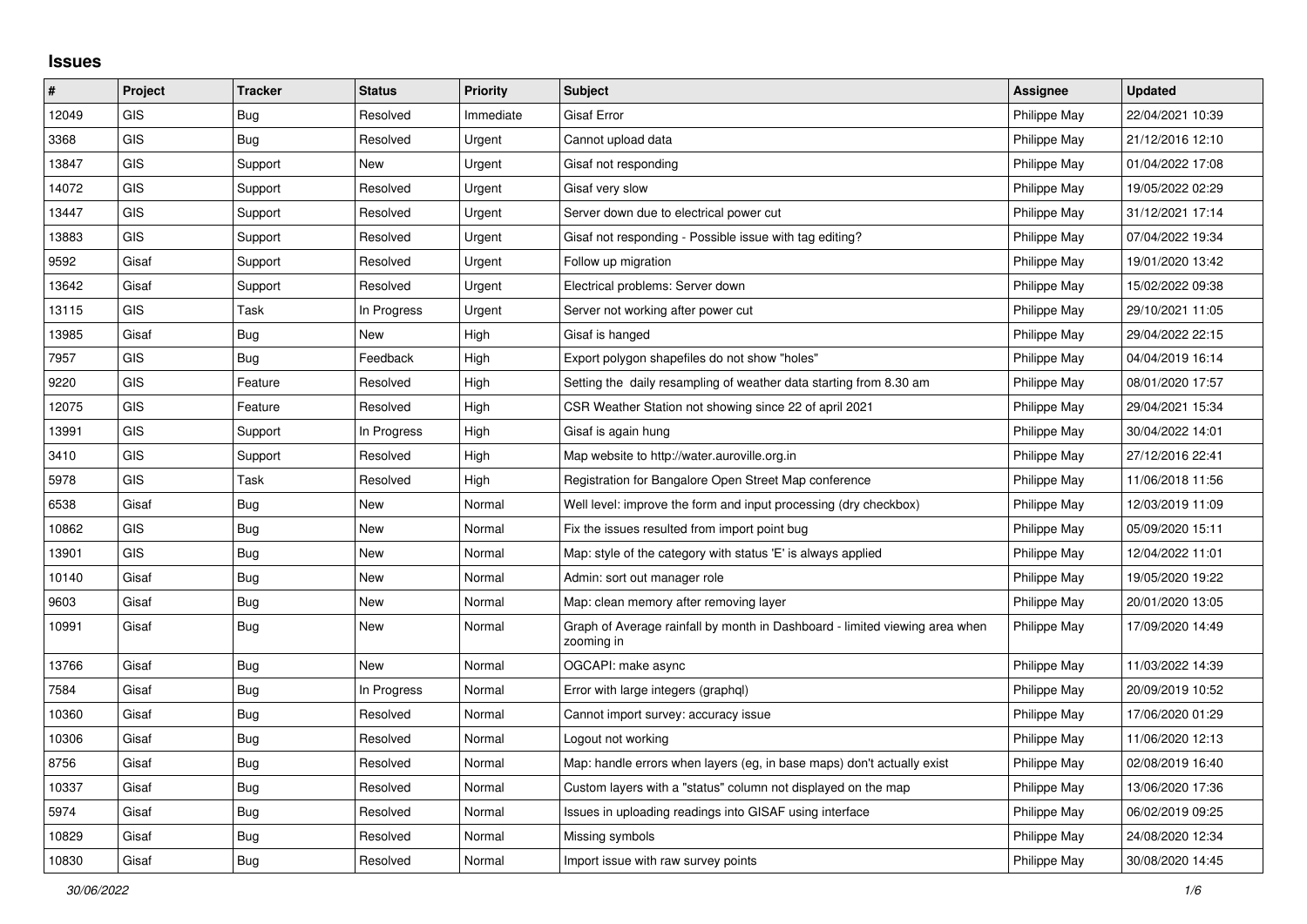## **Issues**

| $\vert$ # | Project    | <b>Tracker</b> | <b>Status</b> | <b>Priority</b> | <b>Subject</b>                                                                            | <b>Assignee</b> | <b>Updated</b>   |
|-----------|------------|----------------|---------------|-----------------|-------------------------------------------------------------------------------------------|-----------------|------------------|
| 12049     | GIS        | <b>Bug</b>     | Resolved      | Immediate       | <b>Gisaf Error</b>                                                                        | Philippe May    | 22/04/2021 10:39 |
| 3368      | <b>GIS</b> | <b>Bug</b>     | Resolved      | Urgent          | Cannot upload data                                                                        | Philippe May    | 21/12/2016 12:10 |
| 13847     | GIS        | Support        | New           | Urgent          | Gisaf not responding                                                                      | Philippe May    | 01/04/2022 17:08 |
| 14072     | GIS        | Support        | Resolved      | Urgent          | Gisaf very slow                                                                           | Philippe May    | 19/05/2022 02:29 |
| 13447     | <b>GIS</b> | Support        | Resolved      | Urgent          | Server down due to electrical power cut                                                   | Philippe May    | 31/12/2021 17:14 |
| 13883     | <b>GIS</b> | Support        | Resolved      | Urgent          | Gisaf not responding - Possible issue with tag editing?                                   | Philippe May    | 07/04/2022 19:34 |
| 9592      | Gisaf      | Support        | Resolved      | Urgent          | Follow up migration                                                                       | Philippe May    | 19/01/2020 13:42 |
| 13642     | Gisaf      | Support        | Resolved      | Urgent          | Electrical problems: Server down                                                          | Philippe May    | 15/02/2022 09:38 |
| 13115     | GIS        | Task           | In Progress   | Urgent          | Server not working after power cut                                                        | Philippe May    | 29/10/2021 11:05 |
| 13985     | Gisaf      | Bug            | New           | High            | Gisaf is hanged                                                                           | Philippe May    | 29/04/2022 22:15 |
| 7957      | <b>GIS</b> | <b>Bug</b>     | Feedback      | High            | Export polygon shapefiles do not show "holes"                                             | Philippe May    | 04/04/2019 16:14 |
| 9220      | <b>GIS</b> | Feature        | Resolved      | High            | Setting the daily resampling of weather data starting from 8.30 am                        | Philippe May    | 08/01/2020 17:57 |
| 12075     | GIS        | Feature        | Resolved      | High            | CSR Weather Station not showing since 22 of april 2021                                    | Philippe May    | 29/04/2021 15:34 |
| 13991     | GIS        | Support        | In Progress   | High            | Gisaf is again hung                                                                       | Philippe May    | 30/04/2022 14:01 |
| 3410      | <b>GIS</b> | Support        | Resolved      | High            | Map website to http://water.auroville.org.in                                              | Philippe May    | 27/12/2016 22:41 |
| 5978      | <b>GIS</b> | Task           | Resolved      | High            | Registration for Bangalore Open Street Map conference                                     | Philippe May    | 11/06/2018 11:56 |
| 6538      | Gisaf      | <b>Bug</b>     | <b>New</b>    | Normal          | Well level: improve the form and input processing (dry checkbox)                          | Philippe May    | 12/03/2019 11:09 |
| 10862     | <b>GIS</b> | <b>Bug</b>     | New           | Normal          | Fix the issues resulted from import point bug                                             | Philippe May    | 05/09/2020 15:11 |
| 13901     | GIS        | <b>Bug</b>     | New           | Normal          | Map: style of the category with status 'E' is always applied                              | Philippe May    | 12/04/2022 11:01 |
| 10140     | Gisaf      | Bug            | New           | Normal          | Admin: sort out manager role                                                              | Philippe May    | 19/05/2020 19:22 |
| 9603      | Gisaf      | <b>Bug</b>     | New           | Normal          | Map: clean memory after removing layer                                                    | Philippe May    | 20/01/2020 13:05 |
| 10991     | Gisaf      | <b>Bug</b>     | <b>New</b>    | Normal          | Graph of Average rainfall by month in Dashboard - limited viewing area when<br>zooming in | Philippe May    | 17/09/2020 14:49 |
| 13766     | Gisaf      | Bug            | New           | Normal          | OGCAPI: make async                                                                        | Philippe May    | 11/03/2022 14:39 |
| 7584      | Gisaf      | <b>Bug</b>     | In Progress   | Normal          | Error with large integers (graphql)                                                       | Philippe May    | 20/09/2019 10:52 |
| 10360     | Gisaf      | Bug            | Resolved      | Normal          | Cannot import survey: accuracy issue                                                      | Philippe May    | 17/06/2020 01:29 |
| 10306     | Gisaf      | <b>Bug</b>     | Resolved      | Normal          | Logout not working                                                                        | Philippe May    | 11/06/2020 12:13 |
| 8756      | Gisaf      | Bug            | Resolved      | Normal          | Map: handle errors when layers (eg, in base maps) don't actually exist                    | Philippe May    | 02/08/2019 16:40 |
| 10337     | Gisaf      | Bug            | Resolved      | Normal          | Custom layers with a "status" column not displayed on the map                             | Philippe May    | 13/06/2020 17:36 |
| 5974      | Gisaf      | Bug            | Resolved      | Normal          | Issues in uploading readings into GISAF using interface                                   | Philippe May    | 06/02/2019 09:25 |
| 10829     | Gisaf      | <b>Bug</b>     | Resolved      | Normal          | Missing symbols                                                                           | Philippe May    | 24/08/2020 12:34 |
| 10830     | Gisaf      | <b>Bug</b>     | Resolved      | Normal          | Import issue with raw survey points                                                       | Philippe May    | 30/08/2020 14:45 |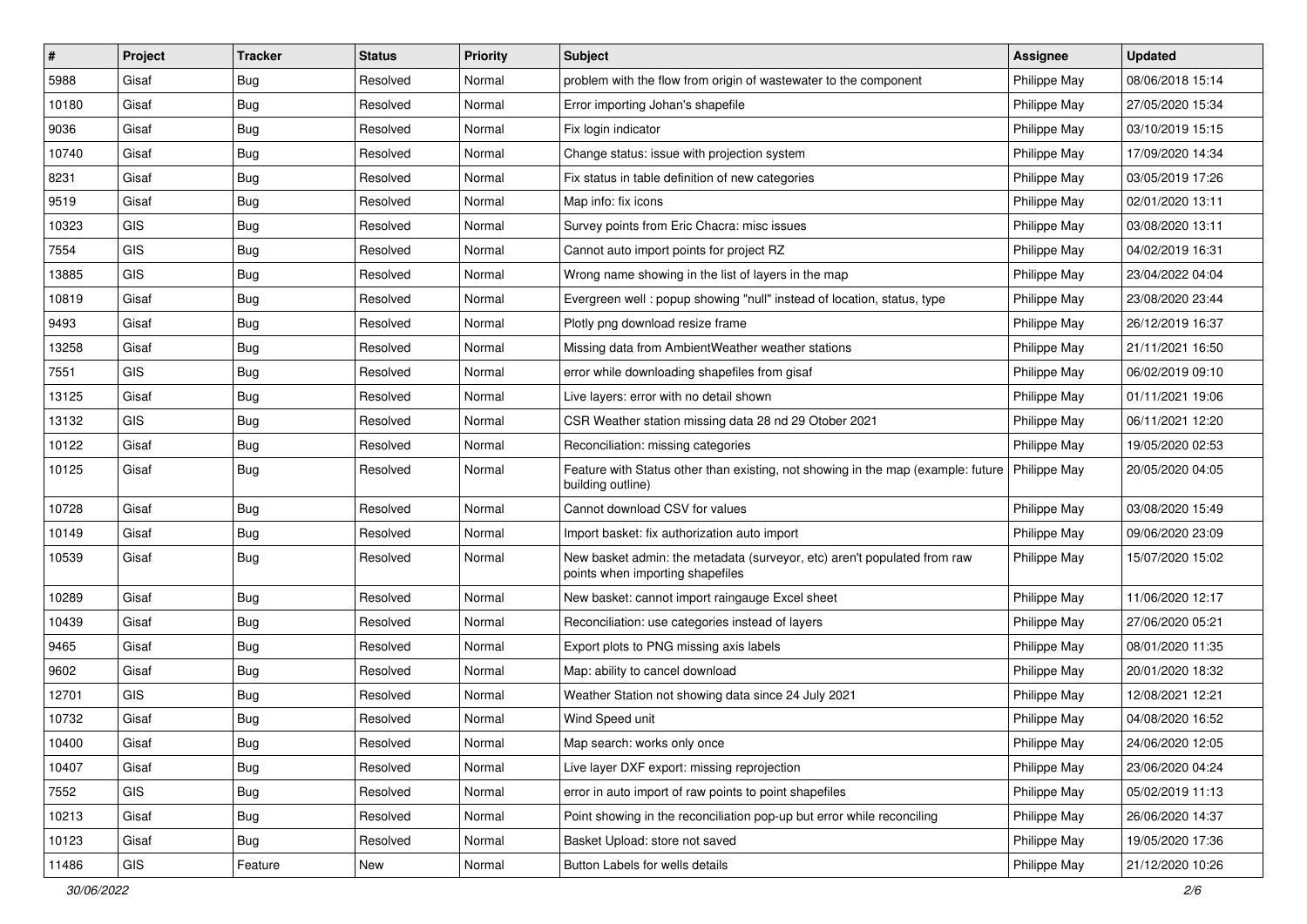| #     | Project    | <b>Tracker</b> | <b>Status</b> | Priority | <b>Subject</b>                                                                                               | <b>Assignee</b> | <b>Updated</b>   |
|-------|------------|----------------|---------------|----------|--------------------------------------------------------------------------------------------------------------|-----------------|------------------|
| 5988  | Gisaf      | <b>Bug</b>     | Resolved      | Normal   | problem with the flow from origin of wastewater to the component                                             | Philippe May    | 08/06/2018 15:14 |
| 10180 | Gisaf      | Bug            | Resolved      | Normal   | Error importing Johan's shapefile                                                                            | Philippe May    | 27/05/2020 15:34 |
| 9036  | Gisaf      | Bug            | Resolved      | Normal   | Fix login indicator                                                                                          | Philippe May    | 03/10/2019 15:15 |
| 10740 | Gisaf      | <b>Bug</b>     | Resolved      | Normal   | Change status: issue with projection system                                                                  | Philippe May    | 17/09/2020 14:34 |
| 8231  | Gisaf      | Bug            | Resolved      | Normal   | Fix status in table definition of new categories                                                             | Philippe May    | 03/05/2019 17:26 |
| 9519  | Gisaf      | <b>Bug</b>     | Resolved      | Normal   | Map info: fix icons                                                                                          | Philippe May    | 02/01/2020 13:11 |
| 10323 | GIS        | <b>Bug</b>     | Resolved      | Normal   | Survey points from Eric Chacra: misc issues                                                                  | Philippe May    | 03/08/2020 13:11 |
| 7554  | GIS        | <b>Bug</b>     | Resolved      | Normal   | Cannot auto import points for project RZ                                                                     | Philippe May    | 04/02/2019 16:31 |
| 13885 | GIS        | <b>Bug</b>     | Resolved      | Normal   | Wrong name showing in the list of layers in the map                                                          | Philippe May    | 23/04/2022 04:04 |
| 10819 | Gisaf      | <b>Bug</b>     | Resolved      | Normal   | Evergreen well: popup showing "null" instead of location, status, type                                       | Philippe May    | 23/08/2020 23:44 |
| 9493  | Gisaf      | <b>Bug</b>     | Resolved      | Normal   | Plotly png download resize frame                                                                             | Philippe May    | 26/12/2019 16:37 |
| 13258 | Gisaf      | <b>Bug</b>     | Resolved      | Normal   | Missing data from AmbientWeather weather stations                                                            | Philippe May    | 21/11/2021 16:50 |
| 7551  | GIS        | Bug            | Resolved      | Normal   | error while downloading shapefiles from gisaf                                                                | Philippe May    | 06/02/2019 09:10 |
| 13125 | Gisaf      | <b>Bug</b>     | Resolved      | Normal   | Live layers: error with no detail shown                                                                      | Philippe May    | 01/11/2021 19:06 |
| 13132 | <b>GIS</b> | <b>Bug</b>     | Resolved      | Normal   | CSR Weather station missing data 28 nd 29 Otober 2021                                                        | Philippe May    | 06/11/2021 12:20 |
| 10122 | Gisaf      | <b>Bug</b>     | Resolved      | Normal   | Reconciliation: missing categories                                                                           | Philippe May    | 19/05/2020 02:53 |
| 10125 | Gisaf      | <b>Bug</b>     | Resolved      | Normal   | Feature with Status other than existing, not showing in the map (example: future<br>building outline)        | Philippe May    | 20/05/2020 04:05 |
| 10728 | Gisaf      | <b>Bug</b>     | Resolved      | Normal   | Cannot download CSV for values                                                                               | Philippe May    | 03/08/2020 15:49 |
| 10149 | Gisaf      | <b>Bug</b>     | Resolved      | Normal   | Import basket: fix authorization auto import                                                                 | Philippe May    | 09/06/2020 23:09 |
| 10539 | Gisaf      | Bug            | Resolved      | Normal   | New basket admin: the metadata (surveyor, etc) aren't populated from raw<br>points when importing shapefiles | Philippe May    | 15/07/2020 15:02 |
| 10289 | Gisaf      | Bug            | Resolved      | Normal   | New basket: cannot import raingauge Excel sheet                                                              | Philippe May    | 11/06/2020 12:17 |
| 10439 | Gisaf      | <b>Bug</b>     | Resolved      | Normal   | Reconciliation: use categories instead of layers                                                             | Philippe May    | 27/06/2020 05:21 |
| 9465  | Gisaf      | <b>Bug</b>     | Resolved      | Normal   | Export plots to PNG missing axis labels                                                                      | Philippe May    | 08/01/2020 11:35 |
| 9602  | Gisaf      | Bug            | Resolved      | Normal   | Map: ability to cancel download                                                                              | Philippe May    | 20/01/2020 18:32 |
| 12701 | <b>GIS</b> | <b>Bug</b>     | Resolved      | Normal   | Weather Station not showing data since 24 July 2021                                                          | Philippe May    | 12/08/2021 12:21 |
| 10732 | Gisaf      | <b>Bug</b>     | Resolved      | Normal   | Wind Speed unit                                                                                              | Philippe May    | 04/08/2020 16:52 |
| 10400 | Gisaf      | <b>Bug</b>     | Resolved      | Normal   | Map search: works only once                                                                                  | Philippe May    | 24/06/2020 12:05 |
| 10407 | Gisaf      | <b>Bug</b>     | Resolved      | Normal   | Live layer DXF export: missing reprojection                                                                  | Philippe May    | 23/06/2020 04:24 |
| 7552  | GIS        | <b>Bug</b>     | Resolved      | Normal   | error in auto import of raw points to point shapefiles                                                       | Philippe May    | 05/02/2019 11:13 |
| 10213 | Gisaf      | <b>Bug</b>     | Resolved      | Normal   | Point showing in the reconciliation pop-up but error while reconciling                                       | Philippe May    | 26/06/2020 14:37 |
| 10123 | Gisaf      | <b>Bug</b>     | Resolved      | Normal   | Basket Upload: store not saved                                                                               | Philippe May    | 19/05/2020 17:36 |
| 11486 | GIS        | Feature        | New           | Normal   | Button Labels for wells details                                                                              | Philippe May    | 21/12/2020 10:26 |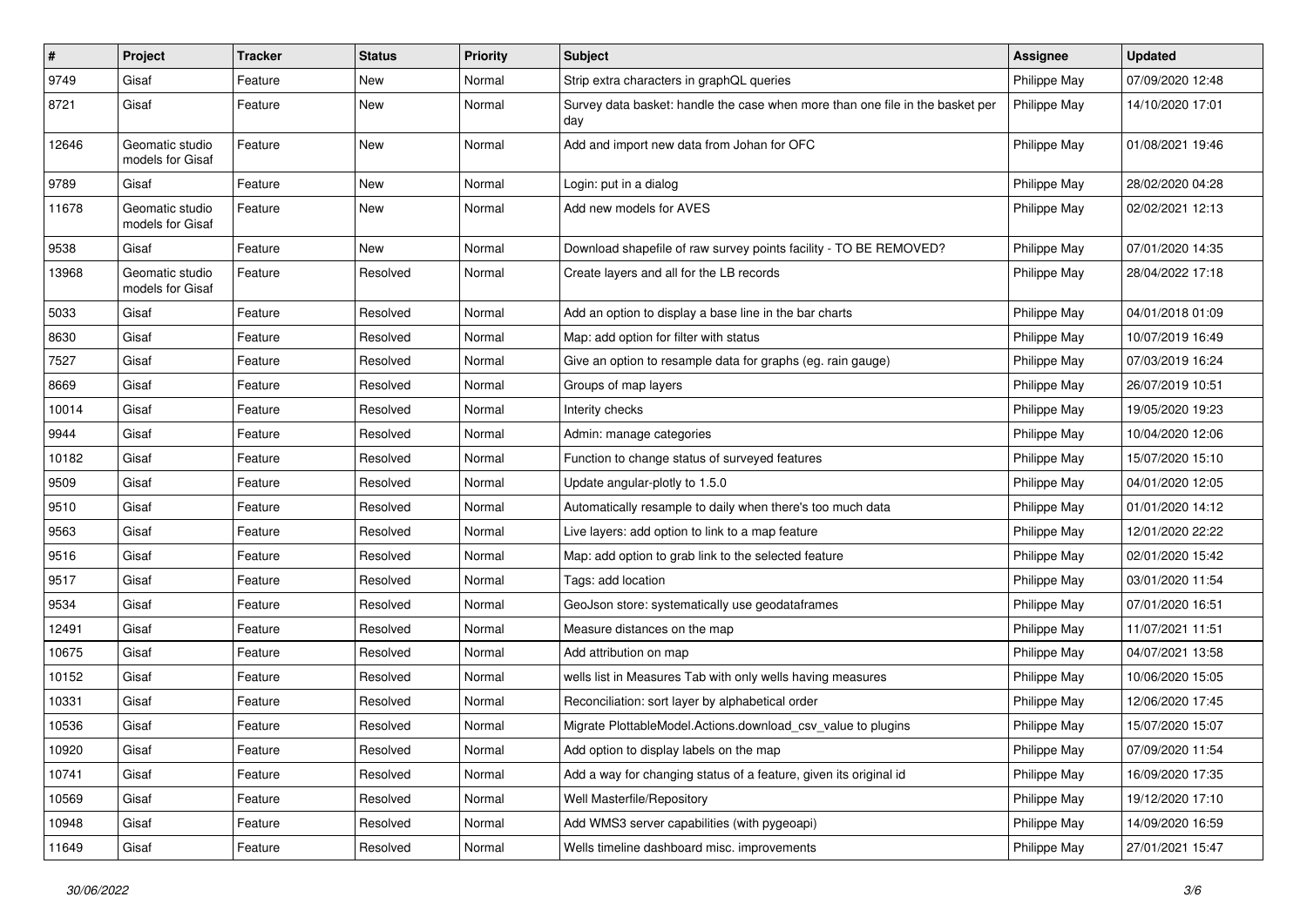| $\vert$ # | Project                             | <b>Tracker</b> | <b>Status</b> | <b>Priority</b> | <b>Subject</b>                                                                       | Assignee     | <b>Updated</b>   |
|-----------|-------------------------------------|----------------|---------------|-----------------|--------------------------------------------------------------------------------------|--------------|------------------|
| 9749      | Gisaf                               | Feature        | New           | Normal          | Strip extra characters in graphQL queries                                            | Philippe May | 07/09/2020 12:48 |
| 8721      | Gisaf                               | Feature        | New           | Normal          | Survey data basket: handle the case when more than one file in the basket per<br>day | Philippe May | 14/10/2020 17:01 |
| 12646     | Geomatic studio<br>models for Gisaf | Feature        | <b>New</b>    | Normal          | Add and import new data from Johan for OFC                                           | Philippe May | 01/08/2021 19:46 |
| 9789      | Gisaf                               | Feature        | New           | Normal          | Login: put in a dialog                                                               | Philippe May | 28/02/2020 04:28 |
| 11678     | Geomatic studio<br>models for Gisaf | Feature        | New           | Normal          | Add new models for AVES                                                              | Philippe May | 02/02/2021 12:13 |
| 9538      | Gisaf                               | Feature        | <b>New</b>    | Normal          | Download shapefile of raw survey points facility - TO BE REMOVED?                    | Philippe May | 07/01/2020 14:35 |
| 13968     | Geomatic studio<br>models for Gisaf | Feature        | Resolved      | Normal          | Create layers and all for the LB records                                             | Philippe May | 28/04/2022 17:18 |
| 5033      | Gisaf                               | Feature        | Resolved      | Normal          | Add an option to display a base line in the bar charts                               | Philippe May | 04/01/2018 01:09 |
| 8630      | Gisaf                               | Feature        | Resolved      | Normal          | Map: add option for filter with status                                               | Philippe May | 10/07/2019 16:49 |
| 7527      | Gisaf                               | Feature        | Resolved      | Normal          | Give an option to resample data for graphs (eg. rain gauge)                          | Philippe May | 07/03/2019 16:24 |
| 8669      | Gisaf                               | Feature        | Resolved      | Normal          | Groups of map layers                                                                 | Philippe May | 26/07/2019 10:51 |
| 10014     | Gisaf                               | Feature        | Resolved      | Normal          | Interity checks                                                                      | Philippe May | 19/05/2020 19:23 |
| 9944      | Gisaf                               | Feature        | Resolved      | Normal          | Admin: manage categories                                                             | Philippe May | 10/04/2020 12:06 |
| 10182     | Gisaf                               | Feature        | Resolved      | Normal          | Function to change status of surveyed features                                       | Philippe May | 15/07/2020 15:10 |
| 9509      | Gisaf                               | Feature        | Resolved      | Normal          | Update angular-plotly to 1.5.0                                                       | Philippe May | 04/01/2020 12:05 |
| 9510      | Gisaf                               | Feature        | Resolved      | Normal          | Automatically resample to daily when there's too much data                           | Philippe May | 01/01/2020 14:12 |
| 9563      | Gisaf                               | Feature        | Resolved      | Normal          | Live layers: add option to link to a map feature                                     | Philippe May | 12/01/2020 22:22 |
| 9516      | Gisaf                               | Feature        | Resolved      | Normal          | Map: add option to grab link to the selected feature                                 | Philippe May | 02/01/2020 15:42 |
| 9517      | Gisaf                               | Feature        | Resolved      | Normal          | Tags: add location                                                                   | Philippe May | 03/01/2020 11:54 |
| 9534      | Gisaf                               | Feature        | Resolved      | Normal          | GeoJson store: systematically use geodataframes                                      | Philippe May | 07/01/2020 16:51 |
| 12491     | Gisaf                               | Feature        | Resolved      | Normal          | Measure distances on the map                                                         | Philippe May | 11/07/2021 11:51 |
| 10675     | Gisaf                               | Feature        | Resolved      | Normal          | Add attribution on map                                                               | Philippe May | 04/07/2021 13:58 |
| 10152     | Gisaf                               | Feature        | Resolved      | Normal          | wells list in Measures Tab with only wells having measures                           | Philippe May | 10/06/2020 15:05 |
| 10331     | Gisaf                               | Feature        | Resolved      | Normal          | Reconciliation: sort layer by alphabetical order                                     | Philippe May | 12/06/2020 17:45 |
| 10536     | Gisaf                               | Feature        | Resolved      | Normal          | Migrate PlottableModel.Actions.download csv value to plugins                         | Philippe May | 15/07/2020 15:07 |
| 10920     | Gisaf                               | Feature        | Resolved      | Normal          | Add option to display labels on the map                                              | Philippe May | 07/09/2020 11:54 |
| 10741     | Gisaf                               | Feature        | Resolved      | Normal          | Add a way for changing status of a feature, given its original id                    | Philippe May | 16/09/2020 17:35 |
| 10569     | Gisaf                               | Feature        | Resolved      | Normal          | Well Masterfile/Repository                                                           | Philippe May | 19/12/2020 17:10 |
| 10948     | Gisaf                               | Feature        | Resolved      | Normal          | Add WMS3 server capabilities (with pygeoapi)                                         | Philippe May | 14/09/2020 16:59 |
| 11649     | Gisaf                               | Feature        | Resolved      | Normal          | Wells timeline dashboard misc. improvements                                          | Philippe May | 27/01/2021 15:47 |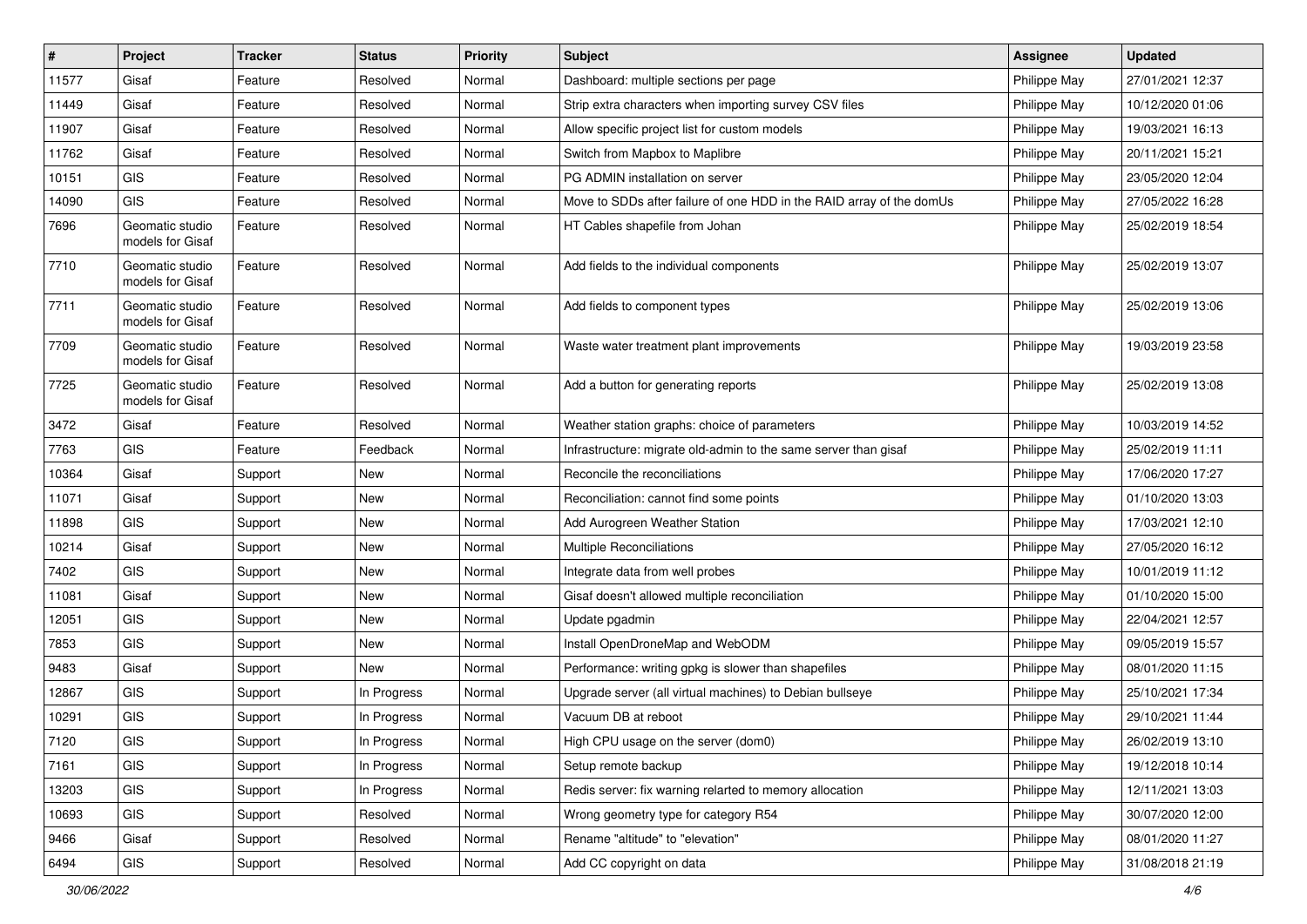| $\vert$ # | Project                             | <b>Tracker</b> | <b>Status</b> | <b>Priority</b> | Subject                                                              | <b>Assignee</b> | <b>Updated</b>   |
|-----------|-------------------------------------|----------------|---------------|-----------------|----------------------------------------------------------------------|-----------------|------------------|
| 11577     | Gisaf                               | Feature        | Resolved      | Normal          | Dashboard: multiple sections per page                                | Philippe May    | 27/01/2021 12:37 |
| 11449     | Gisaf                               | Feature        | Resolved      | Normal          | Strip extra characters when importing survey CSV files               | Philippe May    | 10/12/2020 01:06 |
| 11907     | Gisaf                               | Feature        | Resolved      | Normal          | Allow specific project list for custom models                        | Philippe May    | 19/03/2021 16:13 |
| 11762     | Gisaf                               | Feature        | Resolved      | Normal          | Switch from Mapbox to Maplibre                                       | Philippe May    | 20/11/2021 15:21 |
| 10151     | GIS                                 | Feature        | Resolved      | Normal          | PG ADMIN installation on server                                      | Philippe May    | 23/05/2020 12:04 |
| 14090     | <b>GIS</b>                          | Feature        | Resolved      | Normal          | Move to SDDs after failure of one HDD in the RAID array of the domUs | Philippe May    | 27/05/2022 16:28 |
| 7696      | Geomatic studio<br>models for Gisaf | Feature        | Resolved      | Normal          | HT Cables shapefile from Johan                                       | Philippe May    | 25/02/2019 18:54 |
| 7710      | Geomatic studio<br>models for Gisaf | Feature        | Resolved      | Normal          | Add fields to the individual components                              | Philippe May    | 25/02/2019 13:07 |
| 7711      | Geomatic studio<br>models for Gisaf | Feature        | Resolved      | Normal          | Add fields to component types                                        | Philippe May    | 25/02/2019 13:06 |
| 7709      | Geomatic studio<br>models for Gisaf | Feature        | Resolved      | Normal          | Waste water treatment plant improvements                             | Philippe May    | 19/03/2019 23:58 |
| 7725      | Geomatic studio<br>models for Gisaf | Feature        | Resolved      | Normal          | Add a button for generating reports                                  | Philippe May    | 25/02/2019 13:08 |
| 3472      | Gisaf                               | Feature        | Resolved      | Normal          | Weather station graphs: choice of parameters                         | Philippe May    | 10/03/2019 14:52 |
| 7763      | GIS                                 | Feature        | Feedback      | Normal          | Infrastructure: migrate old-admin to the same server than gisaf      | Philippe May    | 25/02/2019 11:11 |
| 10364     | Gisaf                               | Support        | New           | Normal          | Reconcile the reconciliations                                        | Philippe May    | 17/06/2020 17:27 |
| 11071     | Gisaf                               | Support        | New           | Normal          | Reconciliation: cannot find some points                              | Philippe May    | 01/10/2020 13:03 |
| 11898     | GIS                                 | Support        | <b>New</b>    | Normal          | Add Aurogreen Weather Station                                        | Philippe May    | 17/03/2021 12:10 |
| 10214     | Gisaf                               | Support        | New           | Normal          | Multiple Reconciliations                                             | Philippe May    | 27/05/2020 16:12 |
| 7402      | GIS                                 | Support        | New           | Normal          | Integrate data from well probes                                      | Philippe May    | 10/01/2019 11:12 |
| 11081     | Gisaf                               | Support        | <b>New</b>    | Normal          | Gisaf doesn't allowed multiple reconciliation                        | Philippe May    | 01/10/2020 15:00 |
| 12051     | GIS                                 | Support        | New           | Normal          | Update pgadmin                                                       | Philippe May    | 22/04/2021 12:57 |
| 7853      | GIS                                 | Support        | <b>New</b>    | Normal          | Install OpenDroneMap and WebODM                                      | Philippe May    | 09/05/2019 15:57 |
| 9483      | Gisaf                               | Support        | New           | Normal          | Performance: writing gpkg is slower than shapefiles                  | Philippe May    | 08/01/2020 11:15 |
| 12867     | GIS                                 | Support        | In Progress   | Normal          | Upgrade server (all virtual machines) to Debian bullseye             | Philippe May    | 25/10/2021 17:34 |
| 10291     | GIS                                 | Support        | In Progress   | Normal          | Vacuum DB at reboot                                                  | Philippe May    | 29/10/2021 11:44 |
| 7120      | GIS                                 | Support        | In Progress   | Normal          | High CPU usage on the server (dom0)                                  | Philippe May    | 26/02/2019 13:10 |
| 7161      | GIS                                 | Support        | In Progress   | Normal          | Setup remote backup                                                  | Philippe May    | 19/12/2018 10:14 |
| 13203     | GIS                                 | Support        | In Progress   | Normal          | Redis server: fix warning relarted to memory allocation              | Philippe May    | 12/11/2021 13:03 |
| 10693     | GIS                                 | Support        | Resolved      | Normal          | Wrong geometry type for category R54                                 | Philippe May    | 30/07/2020 12:00 |
| 9466      | Gisaf                               | Support        | Resolved      | Normal          | Rename "altitude" to "elevation"                                     | Philippe May    | 08/01/2020 11:27 |
| 6494      | GIS                                 | Support        | Resolved      | Normal          | Add CC copyright on data                                             | Philippe May    | 31/08/2018 21:19 |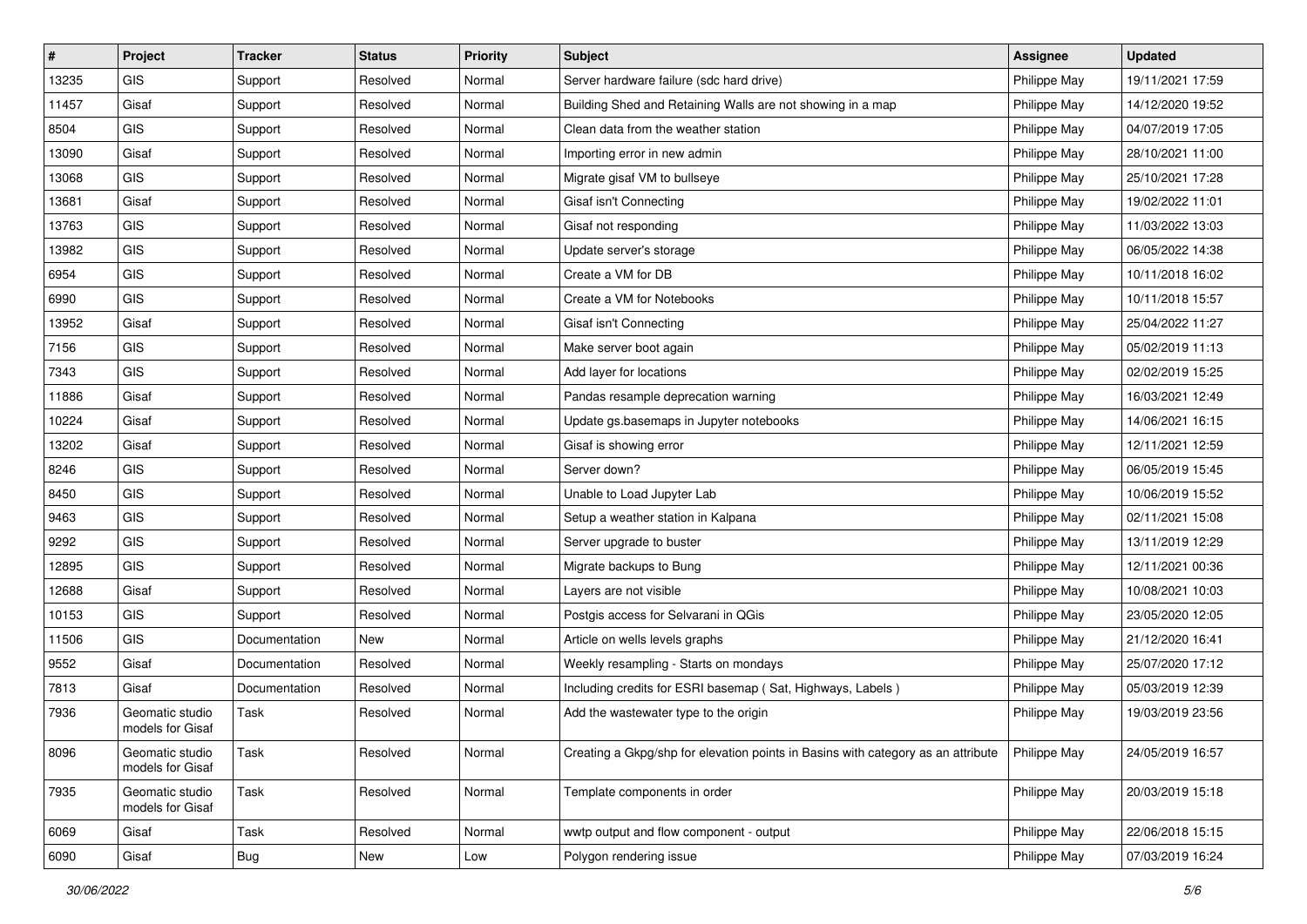| $\vert$ # | Project                             | <b>Tracker</b> | <b>Status</b> | Priority | <b>Subject</b>                                                                   | <b>Assignee</b> | <b>Updated</b>   |
|-----------|-------------------------------------|----------------|---------------|----------|----------------------------------------------------------------------------------|-----------------|------------------|
| 13235     | GIS                                 | Support        | Resolved      | Normal   | Server hardware failure (sdc hard drive)                                         | Philippe May    | 19/11/2021 17:59 |
| 11457     | Gisaf                               | Support        | Resolved      | Normal   | Building Shed and Retaining Walls are not showing in a map                       | Philippe May    | 14/12/2020 19:52 |
| 8504      | <b>GIS</b>                          | Support        | Resolved      | Normal   | Clean data from the weather station                                              | Philippe May    | 04/07/2019 17:05 |
| 13090     | Gisaf                               | Support        | Resolved      | Normal   | Importing error in new admin                                                     | Philippe May    | 28/10/2021 11:00 |
| 13068     | GIS                                 | Support        | Resolved      | Normal   | Migrate gisaf VM to bullseye                                                     | Philippe May    | 25/10/2021 17:28 |
| 13681     | Gisaf                               | Support        | Resolved      | Normal   | Gisaf isn't Connecting                                                           | Philippe May    | 19/02/2022 11:01 |
| 13763     | GIS                                 | Support        | Resolved      | Normal   | Gisaf not responding                                                             | Philippe May    | 11/03/2022 13:03 |
| 13982     | GIS                                 | Support        | Resolved      | Normal   | Update server's storage                                                          | Philippe May    | 06/05/2022 14:38 |
| 6954      | GIS                                 | Support        | Resolved      | Normal   | Create a VM for DB                                                               | Philippe May    | 10/11/2018 16:02 |
| 6990      | GIS                                 | Support        | Resolved      | Normal   | Create a VM for Notebooks                                                        | Philippe May    | 10/11/2018 15:57 |
| 13952     | Gisaf                               | Support        | Resolved      | Normal   | Gisaf isn't Connecting                                                           | Philippe May    | 25/04/2022 11:27 |
| 7156      | GIS                                 | Support        | Resolved      | Normal   | Make server boot again                                                           | Philippe May    | 05/02/2019 11:13 |
| 7343      | GIS                                 | Support        | Resolved      | Normal   | Add layer for locations                                                          | Philippe May    | 02/02/2019 15:25 |
| 11886     | Gisaf                               | Support        | Resolved      | Normal   | Pandas resample deprecation warning                                              | Philippe May    | 16/03/2021 12:49 |
| 10224     | Gisaf                               | Support        | Resolved      | Normal   | Update gs.basemaps in Jupyter notebooks                                          | Philippe May    | 14/06/2021 16:15 |
| 13202     | Gisaf                               | Support        | Resolved      | Normal   | Gisaf is showing error                                                           | Philippe May    | 12/11/2021 12:59 |
| 8246      | GIS                                 | Support        | Resolved      | Normal   | Server down?                                                                     | Philippe May    | 06/05/2019 15:45 |
| 8450      | GIS                                 | Support        | Resolved      | Normal   | Unable to Load Jupyter Lab                                                       | Philippe May    | 10/06/2019 15:52 |
| 9463      | GIS                                 | Support        | Resolved      | Normal   | Setup a weather station in Kalpana                                               | Philippe May    | 02/11/2021 15:08 |
| 9292      | GIS                                 | Support        | Resolved      | Normal   | Server upgrade to buster                                                         | Philippe May    | 13/11/2019 12:29 |
| 12895     | GIS                                 | Support        | Resolved      | Normal   | Migrate backups to Bung                                                          | Philippe May    | 12/11/2021 00:36 |
| 12688     | Gisaf                               | Support        | Resolved      | Normal   | Layers are not visible                                                           | Philippe May    | 10/08/2021 10:03 |
| 10153     | GIS                                 | Support        | Resolved      | Normal   | Postgis access for Selvarani in QGis                                             | Philippe May    | 23/05/2020 12:05 |
| 11506     | GIS                                 | Documentation  | <b>New</b>    | Normal   | Article on wells levels graphs                                                   | Philippe May    | 21/12/2020 16:41 |
| 9552      | Gisaf                               | Documentation  | Resolved      | Normal   | Weekly resampling - Starts on mondays                                            | Philippe May    | 25/07/2020 17:12 |
| 7813      | Gisaf                               | Documentation  | Resolved      | Normal   | Including credits for ESRI basemap (Sat, Highways, Labels)                       | Philippe May    | 05/03/2019 12:39 |
| 7936      | Geomatic studio<br>models for Gisaf | Task           | Resolved      | Normal   | Add the wastewater type to the origin                                            | Philippe May    | 19/03/2019 23:56 |
| 8096      | Geomatic studio<br>models for Gisaf | Task           | Resolved      | Normal   | Creating a Gkpg/shp for elevation points in Basins with category as an attribute | Philippe May    | 24/05/2019 16:57 |
| 7935      | Geomatic studio<br>models for Gisaf | Task           | Resolved      | Normal   | Template components in order                                                     | Philippe May    | 20/03/2019 15:18 |
| 6069      | Gisaf                               | Task           | Resolved      | Normal   | wwtp output and flow component - output                                          | Philippe May    | 22/06/2018 15:15 |
| 6090      | Gisaf                               | <b>Bug</b>     | New           | Low      | Polygon rendering issue                                                          | Philippe May    | 07/03/2019 16:24 |